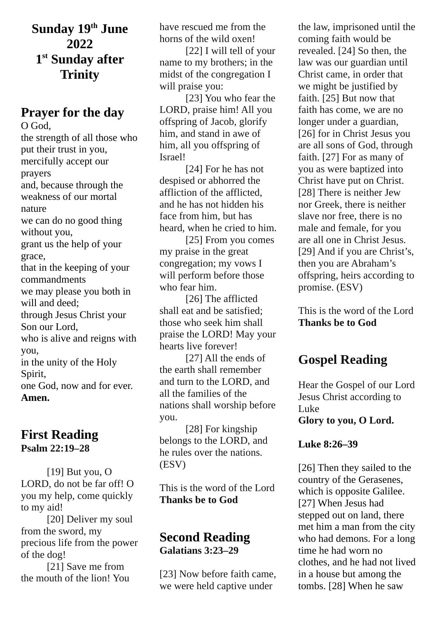**Sunday 19th June 2022 1 st Sunday after Trinity**

### **Prayer for the day**

O God, the strength of all those who put their trust in you, mercifully accept our prayers and, because through the weakness of our mortal nature we can do no good thing without you, grant us the help of your grace, that in the keeping of your commandments we may please you both in will and deed; through Jesus Christ your Son our Lord, who is alive and reigns with you, in the unity of the Holy Spirit, one God, now and for ever. **Amen.**

# **First Reading**

**Psalm 22:19–28**

[19] But you, O LORD, do not be far off! O you my help, come quickly to my aid!

[20] Deliver my soul from the sword, my precious life from the power of the dog!

[21] Save me from the mouth of the lion! You have rescued me from the horns of the wild oxen!

[22] I will tell of your name to my brothers; in the midst of the congregation I will praise you:

[23] You who fear the LORD, praise him! All you offspring of Jacob, glorify him, and stand in awe of him, all you offspring of Israel!

[24] For he has not despised or abhorred the affliction of the afflicted, and he has not hidden his face from him, but has heard, when he cried to him.

[25] From you comes my praise in the great congregation; my vows I will perform before those who fear him.

[26] The afflicted shall eat and be satisfied; those who seek him shall praise the LORD! May your hearts live forever!

[27] All the ends of the earth shall remember and turn to the LORD, and all the families of the nations shall worship before you.

[28] For kingship belongs to the LORD, and he rules over the nations. (ESV)

This is the word of the Lord **Thanks be to God**

### **Second Reading Galatians 3:23–29**

[23] Now before faith came, we were held captive under

the law, imprisoned until the coming faith would be revealed. [24] So then, the law was our guardian until Christ came, in order that we might be justified by faith. [25] But now that faith has come, we are no longer under a guardian, [26] for in Christ Jesus you are all sons of God, through faith. [27] For as many of you as were baptized into Christ have put on Christ. [28] There is neither Jew nor Greek, there is neither slave nor free, there is no male and female, for you are all one in Christ Jesus. [29] And if you are Christ's, then you are Abraham's offspring, heirs according to promise. (ESV)

This is the word of the Lord **Thanks be to God**

## **Gospel Reading**

Hear the Gospel of our Lord Jesus Christ according to Luke **Glory to you, O Lord.**

### **Luke 8:26–39**

[26] Then they sailed to the country of the Gerasenes, which is opposite Galilee. [27] When Jesus had stepped out on land, there met him a man from the city who had demons. For a long time he had worn no clothes, and he had not lived in a house but among the tombs. [28] When he saw